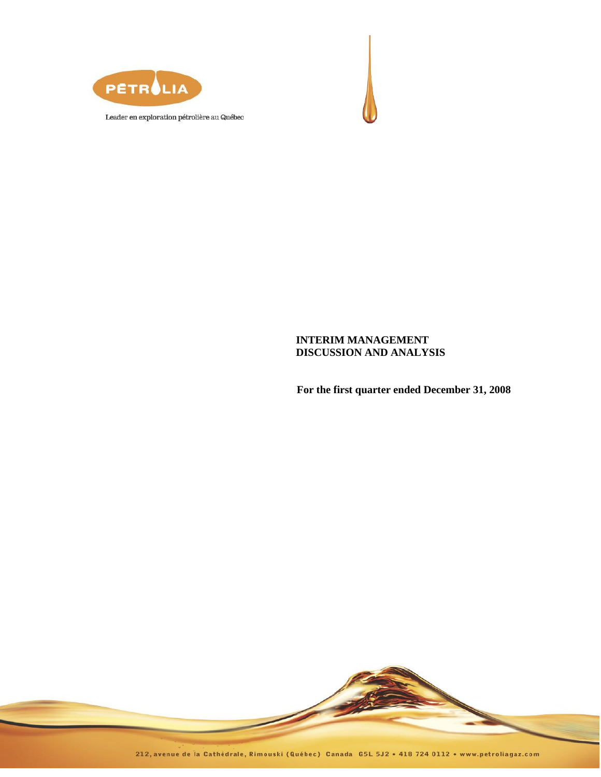



# **INTERIM MANAGEMENT DISCUSSION AND ANALYSIS**

**For the first quarter ended December 31, 2008**

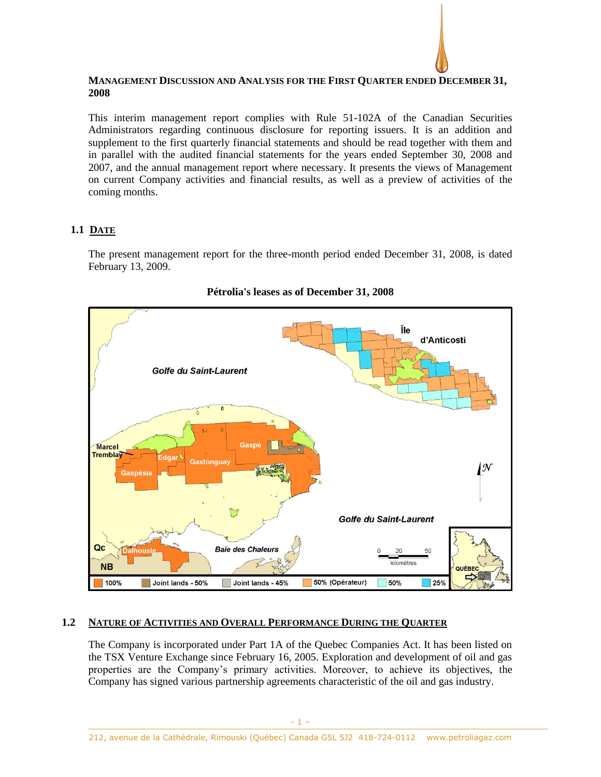

## **MANAGEMENT DISCUSSION AND ANALYSIS FOR THE FIRST QUARTER ENDED DECEMBER 31, 2008**

This interim management report complies with Rule 51-102A of the Canadian Securities Administrators regarding continuous disclosure for reporting issuers. It is an addition and supplement to the first quarterly financial statements and should be read together with them and in parallel with the audited financial statements for the years ended September 30, 2008 and 2007, and the annual management report where necessary. It presents the views of Management on current Company activities and financial results, as well as a preview of activities of the coming months.

# **1.1 DATE**

The present management report for the three-month period ended December 31, 2008, is dated February 13, 2009.



# **Pétrolia's leases as of December 31, 2008**

# **1.2 NATURE OF ACTIVITIES AND OVERALL PERFORMANCE DURING THE QUARTER**

The Company is incorporated under Part 1A of the Quebec Companies Act. It has been listed on the TSX Venture Exchange since February 16, 2005. Exploration and development of oil and gas properties are the Company's primary activities. Moreover, to achieve its objectives, the Company has signed various partnership agreements characteristic of the oil and gas industry.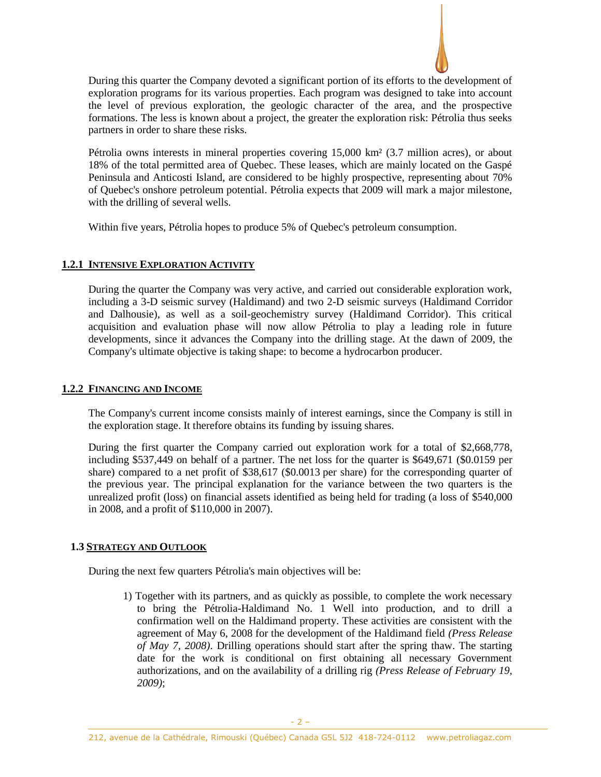

During this quarter the Company devoted a significant portion of its efforts to the development of exploration programs for its various properties. Each program was designed to take into account the level of previous exploration, the geologic character of the area, and the prospective formations. The less is known about a project, the greater the exploration risk: Pétrolia thus seeks partners in order to share these risks.

Pétrolia owns interests in mineral properties covering 15,000 km² (3.7 million acres), or about 18% of the total permitted area of Quebec. These leases, which are mainly located on the Gaspé Peninsula and Anticosti Island, are considered to be highly prospective, representing about 70% of Quebec's onshore petroleum potential. Pétrolia expects that 2009 will mark a major milestone, with the drilling of several wells.

Within five years, Pétrolia hopes to produce 5% of Quebec's petroleum consumption.

## **1.2.1 INTENSIVE EXPLORATION ACTIVITY**

During the quarter the Company was very active, and carried out considerable exploration work, including a 3-D seismic survey (Haldimand) and two 2-D seismic surveys (Haldimand Corridor and Dalhousie), as well as a soil-geochemistry survey (Haldimand Corridor). This critical acquisition and evaluation phase will now allow Pétrolia to play a leading role in future developments, since it advances the Company into the drilling stage. At the dawn of 2009, the Company's ultimate objective is taking shape: to become a hydrocarbon producer.

# **1.2.2 FINANCING AND INCOME**

The Company's current income consists mainly of interest earnings, since the Company is still in the exploration stage. It therefore obtains its funding by issuing shares.

During the first quarter the Company carried out exploration work for a total of \$2,668,778, including \$537,449 on behalf of a partner. The net loss for the quarter is \$649,671 (\$0.0159 per share) compared to a net profit of \$38,617 (\$0.0013 per share) for the corresponding quarter of the previous year. The principal explanation for the variance between the two quarters is the unrealized profit (loss) on financial assets identified as being held for trading (a loss of \$540,000 in 2008, and a profit of \$110,000 in 2007).

## **1.3 STRATEGY AND OUTLOOK**

During the next few quarters Pétrolia's main objectives will be:

1) Together with its partners, and as quickly as possible, to complete the work necessary to bring the Pétrolia-Haldimand No. 1 Well into production, and to drill a confirmation well on the Haldimand property. These activities are consistent with the agreement of May 6, 2008 for the development of the Haldimand field *(Press Release of May 7, 2008)*. Drilling operations should start after the spring thaw. The starting date for the work is conditional on first obtaining all necessary Government authorizations, and on the availability of a drilling rig *(Press Release of February 19, 2009)*;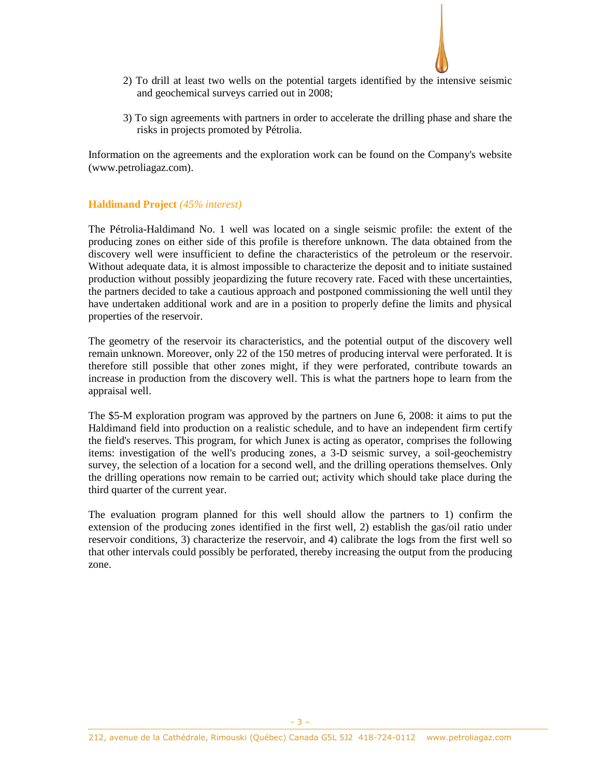

- 2) To drill at least two wells on the potential targets identified by the intensive seismic and geochemical surveys carried out in 2008;
- 3) To sign agreements with partners in order to accelerate the drilling phase and share the risks in projects promoted by Pétrolia.

Information on the agreements and the exploration work can be found on the Company's website [\(www.petroliagaz.com\)](http://www.petroliagaz.com/).

## **Haldimand Project** *(45% interest)*

The Pétrolia-Haldimand No. 1 well was located on a single seismic profile: the extent of the producing zones on either side of this profile is therefore unknown. The data obtained from the discovery well were insufficient to define the characteristics of the petroleum or the reservoir. Without adequate data, it is almost impossible to characterize the deposit and to initiate sustained production without possibly jeopardizing the future recovery rate. Faced with these uncertainties, the partners decided to take a cautious approach and postponed commissioning the well until they have undertaken additional work and are in a position to properly define the limits and physical properties of the reservoir.

The geometry of the reservoir its characteristics, and the potential output of the discovery well remain unknown. Moreover, only 22 of the 150 metres of producing interval were perforated. It is therefore still possible that other zones might, if they were perforated, contribute towards an increase in production from the discovery well. This is what the partners hope to learn from the appraisal well.

The \$5-M exploration program was approved by the partners on June 6, 2008: it aims to put the Haldimand field into production on a realistic schedule, and to have an independent firm certify the field's reserves. This program, for which Junex is acting as operator, comprises the following items: investigation of the well's producing zones, a 3-D seismic survey, a soil-geochemistry survey, the selection of a location for a second well, and the drilling operations themselves. Only the drilling operations now remain to be carried out; activity which should take place during the third quarter of the current year.

The evaluation program planned for this well should allow the partners to 1) confirm the extension of the producing zones identified in the first well, 2) establish the gas/oil ratio under reservoir conditions, 3) characterize the reservoir, and 4) calibrate the logs from the first well so that other intervals could possibly be perforated, thereby increasing the output from the producing zone.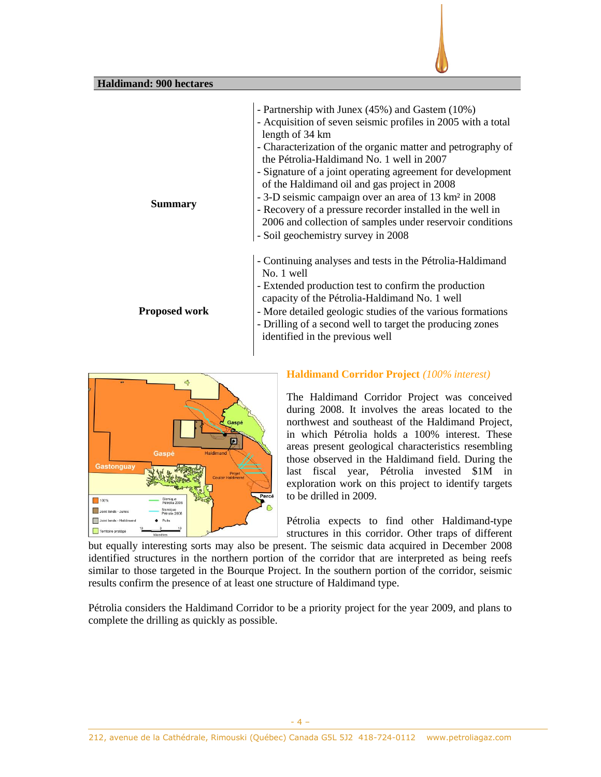



# **Haldimand Corridor Project** *(100% interest)*

The Haldimand Corridor Project was conceived during 2008. It involves the areas located to the northwest and southeast of the Haldimand Project, in which Pétrolia holds a 100% interest. These areas present geological characteristics resembling those observed in the Haldimand field. During the last fiscal year, Pétrolia invested \$1M in exploration work on this project to identify targets to be drilled in 2009.

Pétrolia expects to find other Haldimand-type structures in this corridor. Other traps of different

but equally interesting sorts may also be present. The seismic data acquired in December 2008 identified structures in the northern portion of the corridor that are interpreted as being reefs similar to those targeted in the Bourque Project. In the southern portion of the corridor, seismic results confirm the presence of at least one structure of Haldimand type.

Pétrolia considers the Haldimand Corridor to be a priority project for the year 2009, and plans to complete the drilling as quickly as possible.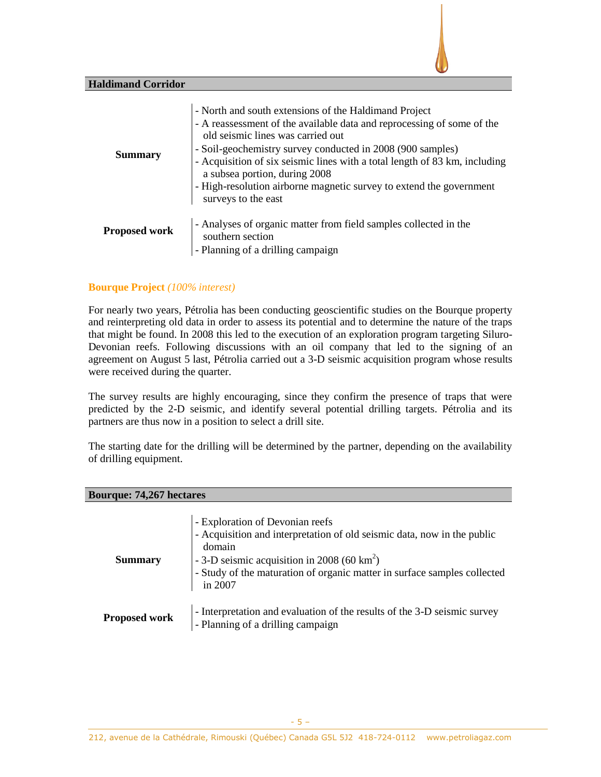## **Haldimand Corridor**

| <b>Summary</b>       | - North and south extensions of the Haldimand Project<br>- A reassessment of the available data and reprocessing of some of the<br>old seismic lines was carried out<br>- Soil-geochemistry survey conducted in 2008 (900 samples)<br>- Acquisition of six seismic lines with a total length of 83 km, including<br>a subsea portion, during 2008<br>- High-resolution airborne magnetic survey to extend the government<br>surveys to the east |
|----------------------|-------------------------------------------------------------------------------------------------------------------------------------------------------------------------------------------------------------------------------------------------------------------------------------------------------------------------------------------------------------------------------------------------------------------------------------------------|
| <b>Proposed work</b> | - Analyses of organic matter from field samples collected in the<br>southern section<br>- Planning of a drilling campaign                                                                                                                                                                                                                                                                                                                       |

## **Bourque Project** *(100% interest)*

For nearly two years, Pétrolia has been conducting geoscientific studies on the Bourque property and reinterpreting old data in order to assess its potential and to determine the nature of the traps that might be found. In 2008 this led to the execution of an exploration program targeting Siluro-Devonian reefs. Following discussions with an oil company that led to the signing of an agreement on August 5 last, Pétrolia carried out a 3-D seismic acquisition program whose results were received during the quarter.

The survey results are highly encouraging, since they confirm the presence of traps that were predicted by the 2-D seismic, and identify several potential drilling targets. Pétrolia and its partners are thus now in a position to select a drill site.

The starting date for the drilling will be determined by the partner, depending on the availability of drilling equipment.

| <b>Bourque: 74,267 hectares</b> |                                                                                                                                                                                                                                                                        |  |  |  |
|---------------------------------|------------------------------------------------------------------------------------------------------------------------------------------------------------------------------------------------------------------------------------------------------------------------|--|--|--|
| <b>Summary</b>                  | - Exploration of Devonian reefs<br>- Acquisition and interpretation of old seismic data, now in the public<br>domain<br>- 3-D seismic acquisition in 2008 (60 km <sup>2</sup> )<br>- Study of the maturation of organic matter in surface samples collected<br>in 2007 |  |  |  |
| <b>Proposed work</b>            | - Interpretation and evaluation of the results of the 3-D seismic survey<br>- Planning of a drilling campaign                                                                                                                                                          |  |  |  |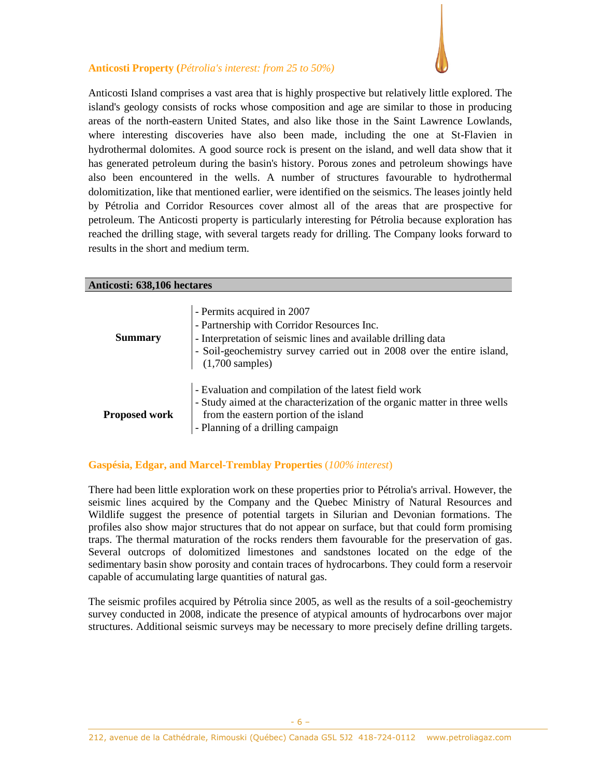# **Anticosti Property (***Pétrolia's interest: from 25 to 50%)*

Anticosti Island comprises a vast area that is highly prospective but relatively little explored. The island's geology consists of rocks whose composition and age are similar to those in producing areas of the north-eastern United States, and also like those in the Saint Lawrence Lowlands, where interesting discoveries have also been made, including the one at St-Flavien in hydrothermal dolomites. A good source rock is present on the island, and well data show that it has generated petroleum during the basin's history. Porous zones and petroleum showings have also been encountered in the wells. A number of structures favourable to hydrothermal dolomitization, like that mentioned earlier, were identified on the seismics. The leases jointly held by Pétrolia and Corridor Resources cover almost all of the areas that are prospective for petroleum. The Anticosti property is particularly interesting for Pétrolia because exploration has reached the drilling stage, with several targets ready for drilling. The Company looks forward to results in the short and medium term.

#### **Anticosti: 638,106 hectares**

| <b>Summary</b>       | - Permits acquired in 2007<br>- Partnership with Corridor Resources Inc.<br>- Interpretation of seismic lines and available drilling data<br>$\vert$ - Soil-geochemistry survey carried out in 2008 over the entire island, (1,700 samples) |
|----------------------|---------------------------------------------------------------------------------------------------------------------------------------------------------------------------------------------------------------------------------------------|
| <b>Proposed work</b> | - Evaluation and compilation of the latest field work<br>- Study aimed at the characterization of the organic matter in three wells<br>from the eastern portion of the island<br>- Planning of a drilling campaign                          |

# **Gaspésia, Edgar, and Marcel-Tremblay Properties** (*100% interest*)

There had been little exploration work on these properties prior to Pétrolia's arrival. However, the seismic lines acquired by the Company and the Quebec Ministry of Natural Resources and Wildlife suggest the presence of potential targets in Silurian and Devonian formations. The profiles also show major structures that do not appear on surface, but that could form promising traps. The thermal maturation of the rocks renders them favourable for the preservation of gas. Several outcrops of dolomitized limestones and sandstones located on the edge of the sedimentary basin show porosity and contain traces of hydrocarbons. They could form a reservoir capable of accumulating large quantities of natural gas.

The seismic profiles acquired by Pétrolia since 2005, as well as the results of a soil-geochemistry survey conducted in 2008, indicate the presence of atypical amounts of hydrocarbons over major structures. Additional seismic surveys may be necessary to more precisely define drilling targets.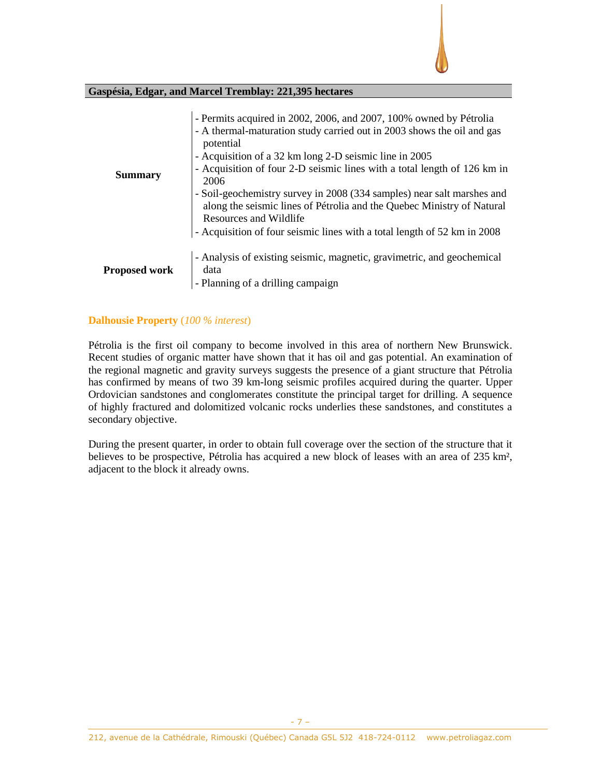

## **Gaspésia, Edgar, and Marcel Tremblay: 221,395 hectares**

| <b>Summary</b>       | - Permits acquired in 2002, 2006, and 2007, 100% owned by Pétrolia<br>- A thermal-maturation study carried out in 2003 shows the oil and gas<br>potential<br>- Acquisition of a 32 km long 2-D seismic line in 2005<br>- Acquisition of four 2-D seismic lines with a total length of 126 km in<br>2006<br>- Soil-geochemistry survey in 2008 (334 samples) near salt marshes and<br>along the seismic lines of Pétrolia and the Quebec Ministry of Natural<br>Resources and Wildlife<br>- Acquisition of four seismic lines with a total length of 52 km in 2008 |
|----------------------|-------------------------------------------------------------------------------------------------------------------------------------------------------------------------------------------------------------------------------------------------------------------------------------------------------------------------------------------------------------------------------------------------------------------------------------------------------------------------------------------------------------------------------------------------------------------|
| <b>Proposed work</b> | - Analysis of existing seismic, magnetic, gravimetric, and geochemical<br>data<br>- Planning of a drilling campaign                                                                                                                                                                                                                                                                                                                                                                                                                                               |

# **Dalhousie Property** (*100 % interest*)

Pétrolia is the first oil company to become involved in this area of northern New Brunswick. Recent studies of organic matter have shown that it has oil and gas potential. An examination of the regional magnetic and gravity surveys suggests the presence of a giant structure that Pétrolia has confirmed by means of two 39 km-long seismic profiles acquired during the quarter. Upper Ordovician sandstones and conglomerates constitute the principal target for drilling. A sequence of highly fractured and dolomitized volcanic rocks underlies these sandstones, and constitutes a secondary objective.

During the present quarter, in order to obtain full coverage over the section of the structure that it believes to be prospective, Pétrolia has acquired a new block of leases with an area of 235 km², adjacent to the block it already owns.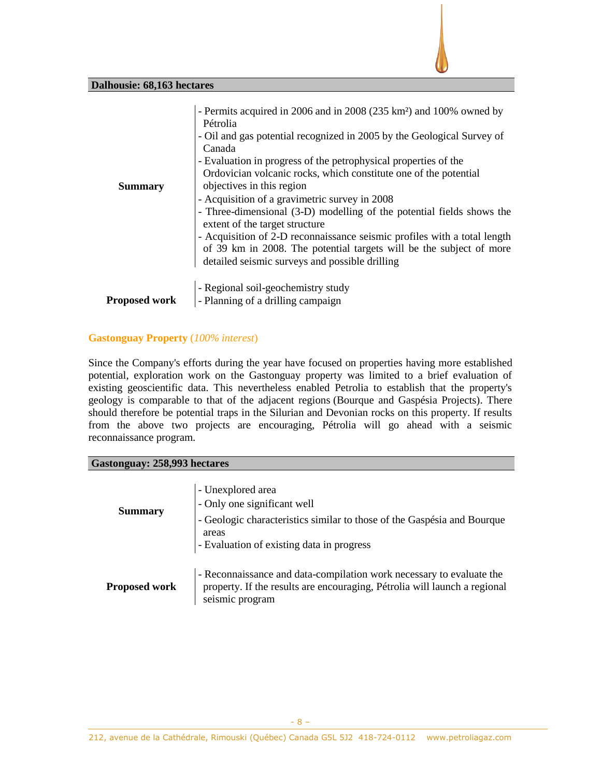## **Dalhousie: 68,163 hectares**

| <b>Summary</b>       | - Permits acquired in 2006 and in 2008 (235 km <sup>2</sup> ) and 100% owned by<br>Pétrolia<br>- Oil and gas potential recognized in 2005 by the Geological Survey of<br>Canada<br>- Evaluation in progress of the petrophysical properties of the<br>Ordovician volcanic rocks, which constitute one of the potential<br>objectives in this region<br>- Acquisition of a gravimetric survey in 2008<br>- Three-dimensional (3-D) modelling of the potential fields shows the<br>extent of the target structure<br>- Acquisition of 2-D reconnaissance seismic profiles with a total length<br>of 39 km in 2008. The potential targets will be the subject of more<br>detailed seismic surveys and possible drilling |
|----------------------|----------------------------------------------------------------------------------------------------------------------------------------------------------------------------------------------------------------------------------------------------------------------------------------------------------------------------------------------------------------------------------------------------------------------------------------------------------------------------------------------------------------------------------------------------------------------------------------------------------------------------------------------------------------------------------------------------------------------|
| <b>Proposed work</b> | - Regional soil-geochemistry study<br>- Planning of a drilling campaign                                                                                                                                                                                                                                                                                                                                                                                                                                                                                                                                                                                                                                              |

# **Gastonguay Property** (*100% interest*)

Since the Company's efforts during the year have focused on properties having more established potential, exploration work on the Gastonguay property was limited to a brief evaluation of existing geoscientific data. This nevertheless enabled Petrolia to establish that the property's geology is comparable to that of the adjacent regions (Bourque and Gaspésia Projects). There should therefore be potential traps in the Silurian and Devonian rocks on this property. If results from the above two projects are encouraging, Pétrolia will go ahead with a seismic reconnaissance program.

# **Gastonguay: 258,993 hectares**

| <b>Summary</b>       | - Unexplored area<br>- Only one significant well<br>- Geologic characteristics similar to those of the Gaspésia and Bourque<br>areas<br>- Evaluation of existing data in progress |  |  |
|----------------------|-----------------------------------------------------------------------------------------------------------------------------------------------------------------------------------|--|--|
| <b>Proposed work</b> | - Reconnaissance and data-compilation work necessary to evaluate the<br>property. If the results are encouraging, Pétrolia will launch a regional<br>seismic program              |  |  |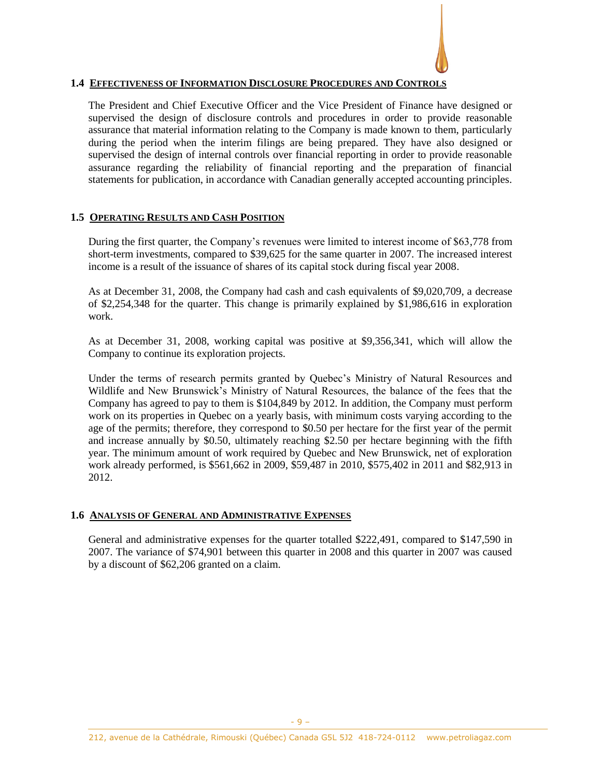

## **1.4 EFFECTIVENESS OF INFORMATION DISCLOSURE PROCEDURES AND CONTROLS**

The President and Chief Executive Officer and the Vice President of Finance have designed or supervised the design of disclosure controls and procedures in order to provide reasonable assurance that material information relating to the Company is made known to them, particularly during the period when the interim filings are being prepared. They have also designed or supervised the design of internal controls over financial reporting in order to provide reasonable assurance regarding the reliability of financial reporting and the preparation of financial statements for publication, in accordance with Canadian generally accepted accounting principles.

## **1.5 OPERATING RESULTS AND CASH POSITION**

During the first quarter, the Company's revenues were limited to interest income of \$63,778 from short-term investments, compared to \$39,625 for the same quarter in 2007. The increased interest income is a result of the issuance of shares of its capital stock during fiscal year 2008.

As at December 31, 2008, the Company had cash and cash equivalents of \$9,020,709, a decrease of \$2,254,348 for the quarter. This change is primarily explained by \$1,986,616 in exploration work.

As at December 31, 2008, working capital was positive at \$9,356,341, which will allow the Company to continue its exploration projects.

Under the terms of research permits granted by Quebec's Ministry of Natural Resources and Wildlife and New Brunswick's Ministry of Natural Resources, the balance of the fees that the Company has agreed to pay to them is \$104,849 by 2012. In addition, the Company must perform work on its properties in Quebec on a yearly basis, with minimum costs varying according to the age of the permits; therefore, they correspond to \$0.50 per hectare for the first year of the permit and increase annually by \$0.50, ultimately reaching \$2.50 per hectare beginning with the fifth year. The minimum amount of work required by Quebec and New Brunswick, net of exploration work already performed, is \$561,662 in 2009, \$59,487 in 2010, \$575,402 in 2011 and \$82,913 in 2012.

# **1.6 ANALYSIS OF GENERAL AND ADMINISTRATIVE EXPENSES**

General and administrative expenses for the quarter totalled \$222,491, compared to \$147,590 in 2007. The variance of \$74,901 between this quarter in 2008 and this quarter in 2007 was caused by a discount of \$62,206 granted on a claim.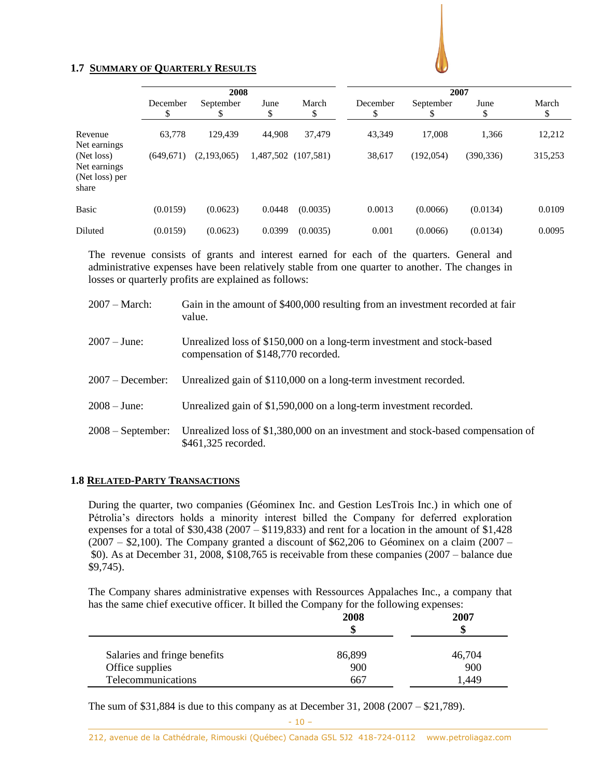

# **1.7 SUMMARY OF QUARTERLY RESULTS**

|                                                       | 2008          |                |            | 2007        |                |                 |            |             |
|-------------------------------------------------------|---------------|----------------|------------|-------------|----------------|-----------------|------------|-------------|
|                                                       | December<br>Φ | September<br>Φ | June<br>\$ | March<br>\$ | December<br>\$ | September<br>\$ | June<br>\$ | March<br>\$ |
| Revenue<br>Net earnings                               | 63,778        | 129,439        | 44,908     | 37,479      | 43,349         | 17,008          | 1,366      | 12,212      |
| (Net loss)<br>Net earnings<br>(Net loss) per<br>share | (649, 671)    | (2,193,065)    | 1,487,502  | (107.581)   | 38,617         | (192, 054)      | (390, 336) | 315,253     |
| <b>Basic</b>                                          | (0.0159)      | (0.0623)       | 0.0448     | (0.0035)    | 0.0013         | (0.0066)        | (0.0134)   | 0.0109      |
| Diluted                                               | (0.0159)      | (0.0623)       | 0.0399     | (0.0035)    | 0.001          | (0.0066)        | (0.0134)   | 0.0095      |

The revenue consists of grants and interest earned for each of the quarters. General and administrative expenses have been relatively stable from one quarter to another. The changes in losses or quarterly profits are explained as follows:

| $2007 - March:$     | Gain in the amount of \$400,000 resulting from an investment recorded at fair<br>value.                       |
|---------------------|---------------------------------------------------------------------------------------------------------------|
| $2007 - June:$      | Unrealized loss of \$150,000 on a long-term investment and stock-based<br>compensation of \$148,770 recorded. |
| $2007 - December:$  | Unrealized gain of \$110,000 on a long-term investment recorded.                                              |
| $2008 - June:$      | Unrealized gain of \$1,590,000 on a long-term investment recorded.                                            |
| $2008 - September:$ | Unrealized loss of \$1,380,000 on an investment and stock-based compensation of<br>\$461,325 recorded.        |

# **1.8 RELATED-PARTY TRANSACTIONS**

During the quarter, two companies (Géominex Inc. and Gestion LesTrois Inc.) in which one of Pétrolia's directors holds a minority interest billed the Company for deferred exploration expenses for a total of  $$30,438$  (2007 –  $$119,833$ ) and rent for a location in the amount of  $$1,428$  $(2007 - $2,100)$ . The Company granted a discount of \$62,206 to Géominex on a claim  $(2007 - $2,100)$ . \$0). As at December 31, 2008, \$108,765 is receivable from these companies (2007 – balance due \$9,745).

The Company shares administrative expenses with Ressources Appalaches Inc., a company that has the same chief executive officer. It billed the Company for the following expenses:

|                              | 2008<br>S | 2007<br>S |
|------------------------------|-----------|-----------|
| Salaries and fringe benefits | 86,899    | 46,704    |
| Office supplies              | 900       | 900       |
| Telecommunications           | 667       | 449. ا    |

The sum of \$31,884 is due to this company as at December 31, 2008 (2007 – \$21,789).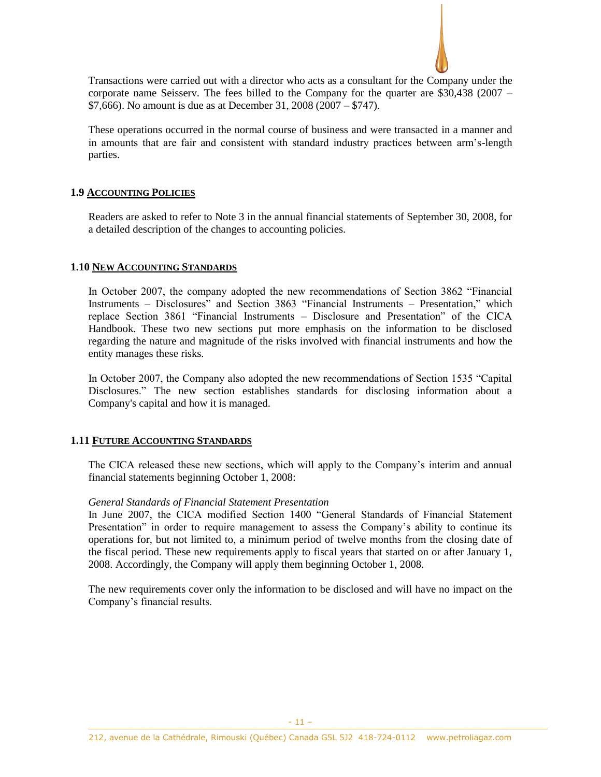

Transactions were carried out with a director who acts as a consultant for the Company under the corporate name Seisserv. The fees billed to the Company for the quarter are \$30,438 (2007 – \$7,666). No amount is due as at December 31, 2008 (2007 – \$747).

These operations occurred in the normal course of business and were transacted in a manner and in amounts that are fair and consistent with standard industry practices between arm's-length parties.

## **1.9 ACCOUNTING POLICIES**

Readers are asked to refer to Note 3 in the annual financial statements of September 30, 2008, for a detailed description of the changes to accounting policies.

## **1.10 NEW ACCOUNTING STANDARDS**

In October 2007, the company adopted the new recommendations of Section 3862 "Financial Instruments – Disclosures" and Section 3863 "Financial Instruments – Presentation," which replace Section 3861 "Financial Instruments – Disclosure and Presentation" of the CICA Handbook. These two new sections put more emphasis on the information to be disclosed regarding the nature and magnitude of the risks involved with financial instruments and how the entity manages these risks.

In October 2007, the Company also adopted the new recommendations of Section 1535 "Capital Disclosures." The new section establishes standards for disclosing information about a Company's capital and how it is managed.

## **1.11 FUTURE ACCOUNTING STANDARDS**

The CICA released these new sections, which will apply to the Company's interim and annual financial statements beginning October 1, 2008:

## *General Standards of Financial Statement Presentation*

In June 2007, the CICA modified Section 1400 "General Standards of Financial Statement Presentation" in order to require management to assess the Company's ability to continue its operations for, but not limited to, a minimum period of twelve months from the closing date of the fiscal period. These new requirements apply to fiscal years that started on or after January 1, 2008. Accordingly, the Company will apply them beginning October 1, 2008.

The new requirements cover only the information to be disclosed and will have no impact on the Company's financial results.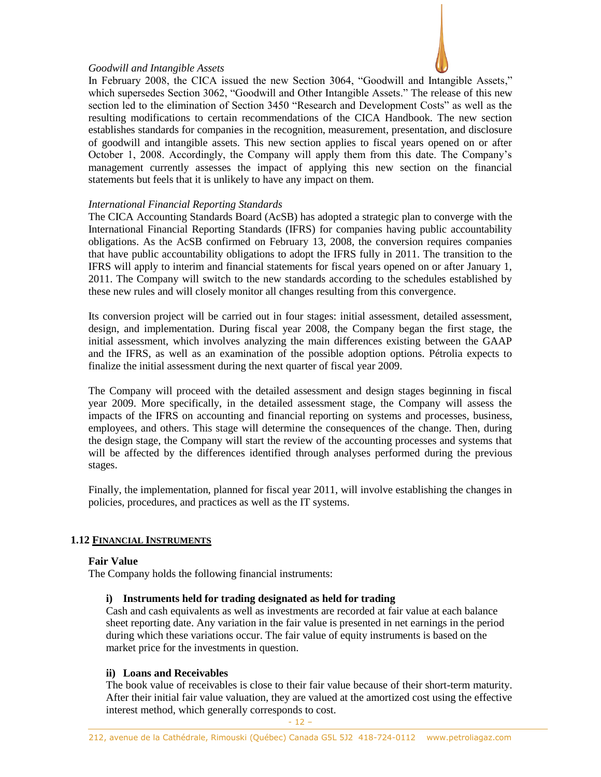## *Goodwill and Intangible Assets*



In February 2008, the CICA issued the new Section 3064, "Goodwill and Intangible Assets," which supersedes Section 3062, "Goodwill and Other Intangible Assets." The release of this new section led to the elimination of Section 3450 "Research and Development Costs" as well as the resulting modifications to certain recommendations of the CICA Handbook. The new section establishes standards for companies in the recognition, measurement, presentation, and disclosure of goodwill and intangible assets. This new section applies to fiscal years opened on or after October 1, 2008. Accordingly, the Company will apply them from this date. The Company's management currently assesses the impact of applying this new section on the financial statements but feels that it is unlikely to have any impact on them.

## *International Financial Reporting Standards*

The CICA Accounting Standards Board (AcSB) has adopted a strategic plan to converge with the International Financial Reporting Standards (IFRS) for companies having public accountability obligations. As the AcSB confirmed on February 13, 2008, the conversion requires companies that have public accountability obligations to adopt the IFRS fully in 2011. The transition to the IFRS will apply to interim and financial statements for fiscal years opened on or after January 1, 2011. The Company will switch to the new standards according to the schedules established by these new rules and will closely monitor all changes resulting from this convergence.

Its conversion project will be carried out in four stages: initial assessment, detailed assessment, design, and implementation. During fiscal year 2008, the Company began the first stage, the initial assessment, which involves analyzing the main differences existing between the GAAP and the IFRS, as well as an examination of the possible adoption options. Pétrolia expects to finalize the initial assessment during the next quarter of fiscal year 2009.

The Company will proceed with the detailed assessment and design stages beginning in fiscal year 2009. More specifically, in the detailed assessment stage, the Company will assess the impacts of the IFRS on accounting and financial reporting on systems and processes, business, employees, and others. This stage will determine the consequences of the change. Then, during the design stage, the Company will start the review of the accounting processes and systems that will be affected by the differences identified through analyses performed during the previous stages.

Finally, the implementation, planned for fiscal year 2011, will involve establishing the changes in policies, procedures, and practices as well as the IT systems.

# **1.12 FINANCIAL INSTRUMENTS**

## **Fair Value**

The Company holds the following financial instruments:

## **i) Instruments held for trading designated as held for trading**

Cash and cash equivalents as well as investments are recorded at fair value at each balance sheet reporting date. Any variation in the fair value is presented in net earnings in the period during which these variations occur. The fair value of equity instruments is based on the market price for the investments in question.

## **ii) Loans and Receivables**

The book value of receivables is close to their fair value because of their short-term maturity. After their initial fair value valuation, they are valued at the amortized cost using the effective interest method, which generally corresponds to cost.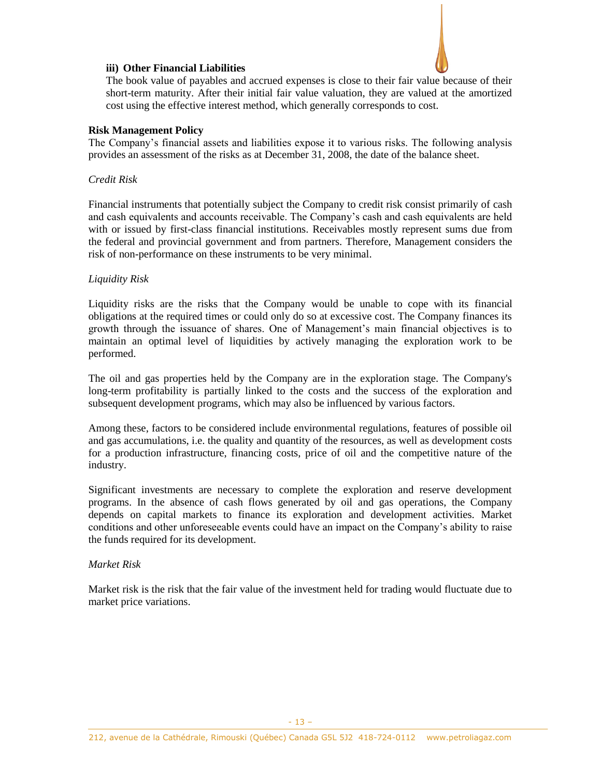## **iii) Other Financial Liabilities**

The book value of payables and accrued expenses is close to their fair value because of their short-term maturity. After their initial fair value valuation, they are valued at the amortized cost using the effective interest method, which generally corresponds to cost.

## **Risk Management Policy**

The Company's financial assets and liabilities expose it to various risks. The following analysis provides an assessment of the risks as at December 31, 2008, the date of the balance sheet.

## *Credit Risk*

Financial instruments that potentially subject the Company to credit risk consist primarily of cash and cash equivalents and accounts receivable. The Company's cash and cash equivalents are held with or issued by first-class financial institutions. Receivables mostly represent sums due from the federal and provincial government and from partners. Therefore, Management considers the risk of non-performance on these instruments to be very minimal.

## *Liquidity Risk*

Liquidity risks are the risks that the Company would be unable to cope with its financial obligations at the required times or could only do so at excessive cost. The Company finances its growth through the issuance of shares. One of Management's main financial objectives is to maintain an optimal level of liquidities by actively managing the exploration work to be performed.

The oil and gas properties held by the Company are in the exploration stage. The Company's long-term profitability is partially linked to the costs and the success of the exploration and subsequent development programs, which may also be influenced by various factors.

Among these, factors to be considered include environmental regulations, features of possible oil and gas accumulations, i.e. the quality and quantity of the resources, as well as development costs for a production infrastructure, financing costs, price of oil and the competitive nature of the industry.

Significant investments are necessary to complete the exploration and reserve development programs. In the absence of cash flows generated by oil and gas operations, the Company depends on capital markets to finance its exploration and development activities. Market conditions and other unforeseeable events could have an impact on the Company's ability to raise the funds required for its development.

## *Market Risk*

Market risk is the risk that the fair value of the investment held for trading would fluctuate due to market price variations.